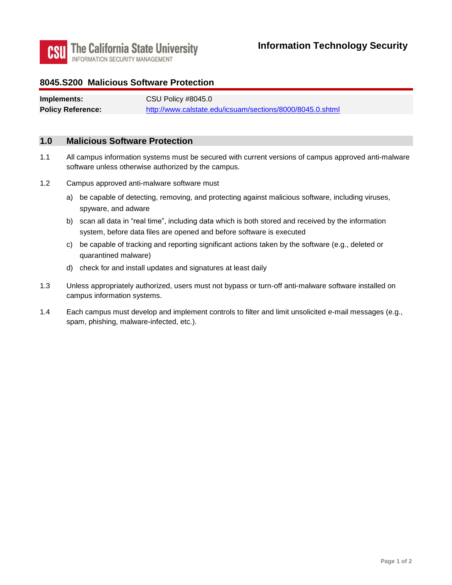

### **8045.S200 Malicious Software Protection**

| Implements:              | CSU Policy #8045.0                                        |
|--------------------------|-----------------------------------------------------------|
| <b>Policy Reference:</b> | http://www.calstate.edu/icsuam/sections/8000/8045.0.shtml |

#### **1.0 Malicious Software Protection**

- software unless otherwise authorized by the campus. 1.1 All campus information systems must be secured with current versions of campus approved anti-malware
- 1.2 Campus approved anti-malware software must
	- a) be capable of detecting, removing, and protecting against malicious software, including viruses, spyware, and adware
	- b) scan all data in "real time", including data which is both stored and received by the information system, before data files are opened and before software is executed
	- c) be capable of tracking and reporting significant actions taken by the software (e.g., deleted or quarantined malware)
	- d) check for and install updates and signatures at least daily
- 1.3 Unless appropriately authorized, users must not bypass or turn-off anti-malware software installed on campus information systems.
- 1.4 Each campus must develop and implement controls to filter and limit unsolicited e-mail messages (e.g., spam, phishing, malware-infected, etc.).